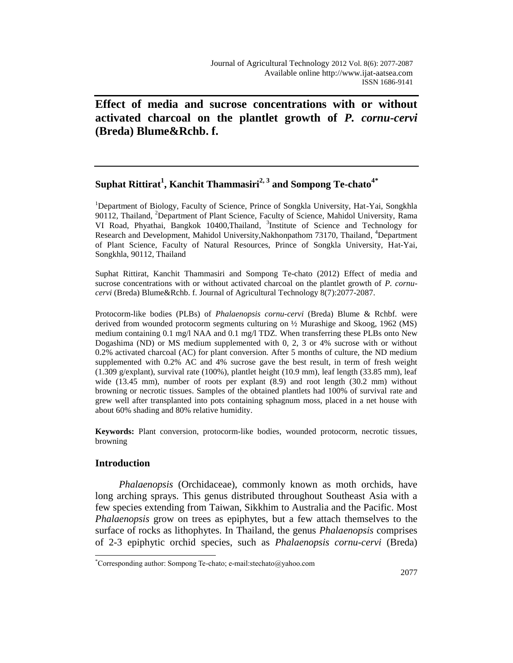# **Effect of media and sucrose concentrations with or without activated charcoal on the plantlet growth of** *P. cornu-cervi* **(Breda) Blume&Rchb. f.**

# **Suphat Rittirat<sup>1</sup> , Kanchit Thammasiri2, 3 and Sompong Te-chato4\***

<sup>1</sup>Department of Biology, Faculty of Science, Prince of Songkla University, Hat-Yai, Songkhla 90112, Thailand, <sup>2</sup>Department of Plant Science, Faculty of Science, Mahidol University, Rama VI Road, Phyathai, Bangkok 10400,Thailand, 3 Institute of Science and Technology for Research and Development, Mahidol University, Nakhonpathom 73170, Thailand, <sup>4</sup>Department of Plant Science, Faculty of Natural Resources, Prince of Songkla University, Hat-Yai, Songkhla, 90112, Thailand

Suphat Rittirat, Kanchit Thammasiri and Sompong Te-chato (2012) Effect of media and sucrose concentrations with or without activated charcoal on the plantlet growth of *P. cornucervi* (Breda) Blume&Rchb. f. Journal of Agricultural Technology 8(7):2077-2087.

Protocorm-like bodies (PLBs) of *Phalaenopsis cornu-cervi* (Breda) Blume & Rchbf. were derived from wounded protocorm segments culturing on ½ Murashige and Skoog, 1962 (MS) medium containing 0.1 mg/l NAA and 0.1 mg/l TDZ. When transferring these PLBs onto New Dogashima (ND) or MS medium supplemented with 0, 2, 3 or 4% sucrose with or without 0.2% activated charcoal (AC) for plant conversion. After 5 months of culture, the ND medium supplemented with 0.2% AC and 4% sucrose gave the best result, in term of fresh weight (1.309 g/explant), survival rate (100%), plantlet height (10.9 mm), leaf length (33.85 mm), leaf wide (13.45 mm), number of roots per explant (8.9) and root length (30.2 mm) without browning or necrotic tissues. Samples of the obtained plantlets had 100% of survival rate and grew well after transplanted into pots containing sphagnum moss, placed in a net house with about 60% shading and 80% relative humidity.

**Keywords:** Plant conversion, protocorm-like bodies, wounded protocorm, necrotic tissues, browning

## **Introduction**

 $\overline{a}$ 

*Phalaenopsis* (Orchidaceae), commonly known as moth orchids, have long arching sprays. This genus distributed throughout Southeast Asia with a few species extending from Taiwan, Sikkhim to Australia and the Pacific. Most *Phalaenopsis* grow on trees as epiphytes, but a few attach themselves to the surface of rocks as lithophytes. In Thailand, the genus *Phalaenopsis* comprises of 2-3 epiphytic orchid species, such as *Phalaenopsis cornu-cervi* (Breda)

<sup>\*</sup>Corresponding author: Sompong Te-chato; e-mail:stechato@yahoo.com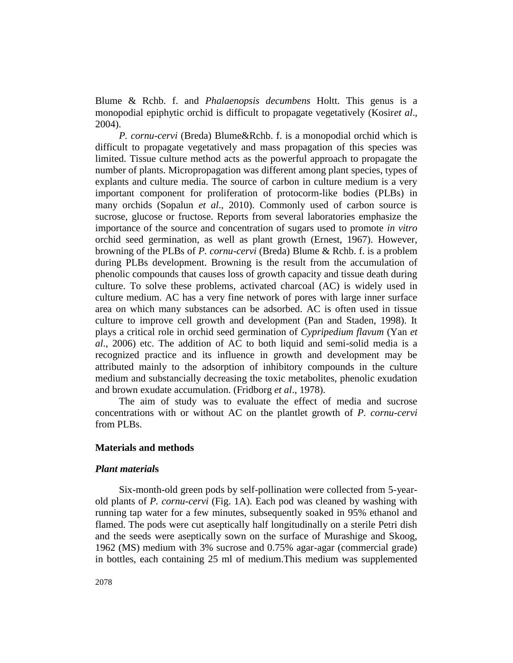Blume & Rchb. f. and *Phalaenopsis decumbens* Holtt. This genus is a monopodial epiphytic orchid is difficult to propagate vegetatively (Kosir*et al*., 2004).

*P. cornu-cervi* (Breda) Blume&Rchb. f. is a monopodial orchid which is difficult to propagate vegetatively and mass propagation of this species was limited. Tissue culture method acts as the powerful approach to propagate the number of plants. Micropropagation was different among plant species, types of explants and culture media. The source of carbon in culture medium is a very important component for proliferation of protocorm-like bodies (PLBs) in many orchids (Sopalun *et al*., 2010). Commonly used of carbon source is sucrose, glucose or fructose. Reports from several laboratories emphasize the importance of the source and concentration of sugars used to promote *in vitro* orchid seed germination, as well as plant growth (Ernest, 1967). However, browning of the PLBs of *P. cornu-cervi* (Breda) Blume & Rchb. f. is a problem during PLBs development. Browning is the result from the accumulation of phenolic compounds that causes loss of growth capacity and tissue death during culture. To solve these problems, activated charcoal (AC) is widely used in culture medium. AC has a very fine network of pores with large inner surface area on which many substances can be adsorbed. AC is often used in tissue culture to improve cell growth and development (Pan and Staden, 1998). It plays a critical role in orchid seed germination of *Cypripedium flavum* (Yan *et al*., 2006) etc. The addition of AC to both liquid and semi-solid media is a recognized practice and its influence in growth and development may be attributed mainly to the adsorption of inhibitory compounds in the culture medium and substancially decreasing the toxic metabolites, phenolic exudation and brown exudate accumulation. (Fridborg *et al*., 1978).

The aim of study was to evaluate the effect of media and sucrose concentrations with or without AC on the plantlet growth of *P. cornu-cervi* from PLBs.

## **Materials and methods**

### *Plant material***s**

Six-month-old green pods by self-pollination were collected from 5-yearold plants of *P. cornu-cervi* (Fig. 1A). Each pod was cleaned by washing with running tap water for a few minutes, subsequently soaked in 95% ethanol and flamed. The pods were cut aseptically half longitudinally on a sterile Petri dish and the seeds were aseptically sown on the surface of Murashige and Skoog, 1962 (MS) medium with 3% sucrose and 0.75% agar-agar (commercial grade) in bottles, each containing 25 ml of medium.This medium was supplemented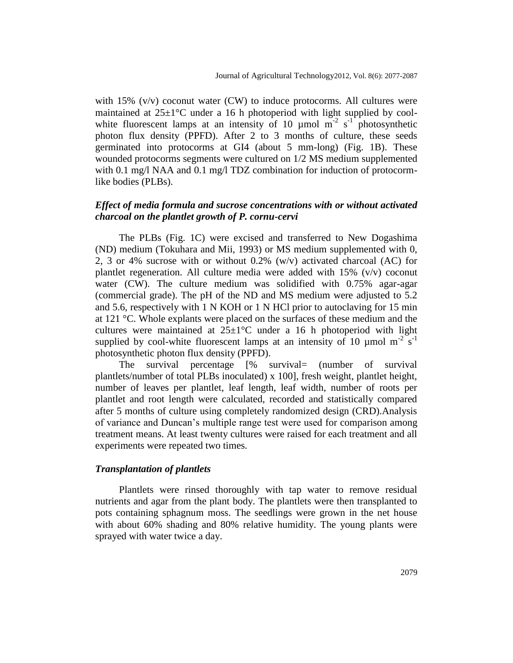with  $15\%$  (v/v) coconut water (CW) to induce protocorms. All cultures were maintained at  $25\pm1$ °C under a 16 h photoperiod with light supplied by coolwhite fluorescent lamps at an intensity of 10  $\mu$ mol m<sup>-2</sup> s<sup>-1</sup> photosynthetic photon flux density (PPFD). After 2 to 3 months of culture, these seeds germinated into protocorms at GI4 (about 5 mm-long) (Fig. 1B). These wounded protocorms segments were cultured on 1/2 MS medium supplemented with 0.1 mg/l NAA and 0.1 mg/l TDZ combination for induction of protocormlike bodies (PLBs).

## *Effect of media formula and sucrose concentrations with or without activated charcoal on the plantlet growth of P. cornu-cervi*

The PLBs (Fig. 1C) were excised and transferred to New Dogashima (ND) medium (Tokuhara and Mii, 1993) or MS medium supplemented with 0, 2, 3 or 4% sucrose with or without 0.2% (w/v) activated charcoal (AC) for plantlet regeneration. All culture media were added with  $15\%$  (v/v) coconut water (CW). The culture medium was solidified with 0.75% agar-agar (commercial grade). The pH of the ND and MS medium were adjusted to 5.2 and 5.6, respectively with 1 N KOH or 1 N HCl prior to autoclaving for 15 min at 121 °C. Whole explants were placed on the surfaces of these medium and the cultures were maintained at  $25\pm1\degree C$  under a 16 h photoperiod with light supplied by cool-white fluorescent lamps at an intensity of 10  $\mu$ mol m<sup>-2</sup> s<sup>-1</sup> photosynthetic photon flux density (PPFD).

The survival percentage [% survival= (number of survival plantlets/number of total PLBs inoculated) x 100], fresh weight, plantlet height, number of leaves per plantlet, leaf length, leaf width, number of roots per plantlet and root length were calculated, recorded and statistically compared after 5 months of culture using completely randomized design (CRD).Analysis of variance and Duncan's multiple range test were used for comparison among treatment means. At least twenty cultures were raised for each treatment and all experiments were repeated two times.

### *Transplantation of plantlets*

Plantlets were rinsed thoroughly with tap water to remove residual nutrients and agar from the plant body. The plantlets were then transplanted to pots containing sphagnum moss. The seedlings were grown in the net house with about 60% shading and 80% relative humidity. The young plants were sprayed with water twice a day.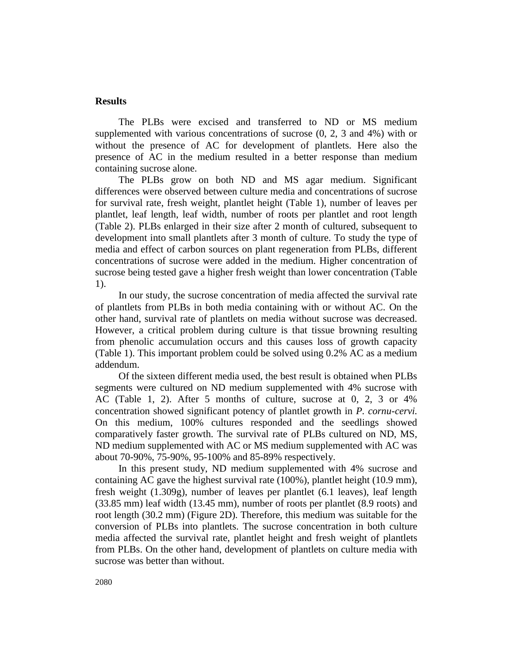## **Results**

The PLBs were excised and transferred to ND or MS medium supplemented with various concentrations of sucrose (0, 2, 3 and 4%) with or without the presence of AC for development of plantlets. Here also the presence of AC in the medium resulted in a better response than medium containing sucrose alone.

The PLBs grow on both ND and MS agar medium. Significant differences were observed between culture media and concentrations of sucrose for survival rate, fresh weight, plantlet height (Table 1), number of leaves per plantlet, leaf length, leaf width, number of roots per plantlet and root length (Table 2). PLBs enlarged in their size after 2 month of cultured, subsequent to development into small plantlets after 3 month of culture. To study the type of media and effect of carbon sources on plant regeneration from PLBs, different concentrations of sucrose were added in the medium. Higher concentration of sucrose being tested gave a higher fresh weight than lower concentration (Table 1).

In our study, the sucrose concentration of media affected the survival rate of plantlets from PLBs in both media containing with or without AC. On the other hand, survival rate of plantlets on media without sucrose was decreased. However, a critical problem during culture is that tissue browning resulting from phenolic accumulation occurs and this causes loss of growth capacity (Table 1). This important problem could be solved using 0.2% AC as a medium addendum.

Of the sixteen different media used, the best result is obtained when PLBs segments were cultured on ND medium supplemented with 4% sucrose with AC (Table 1, 2). After 5 months of culture, sucrose at 0, 2, 3 or 4% concentration showed significant potency of plantlet growth in *P. cornu-cervi.* On this medium, 100% cultures responded and the seedlings showed comparatively faster growth. The survival rate of PLBs cultured on ND, MS, ND medium supplemented with AC or MS medium supplemented with AC was about 70-90%, 75-90%, 95-100% and 85-89% respectively.

In this present study, ND medium supplemented with 4% sucrose and containing AC gave the highest survival rate (100%), plantlet height (10.9 mm), fresh weight (1.309g), number of leaves per plantlet (6.1 leaves), leaf length (33.85 mm) leaf width (13.45 mm), number of roots per plantlet (8.9 roots) and root length (30.2 mm) (Figure 2D). Therefore, this medium was suitable for the conversion of PLBs into plantlets. The sucrose concentration in both culture media affected the survival rate, plantlet height and fresh weight of plantlets from PLBs. On the other hand, development of plantlets on culture media with sucrose was better than without.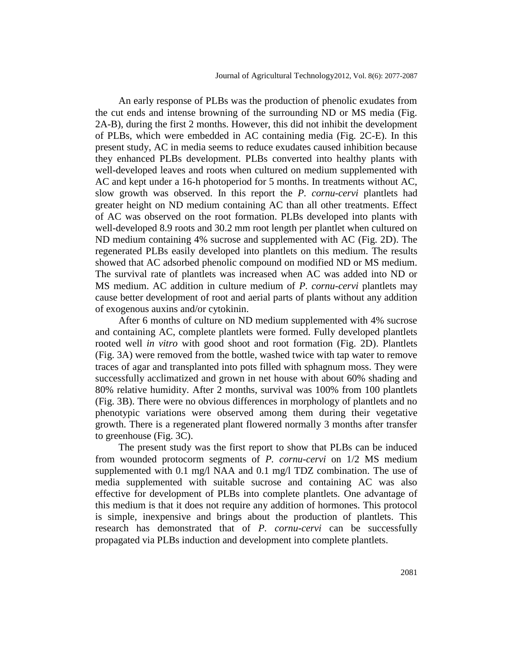An early response of PLBs was the production of phenolic exudates from the cut ends and intense browning of the surrounding ND or MS media (Fig. 2A-B), during the first 2 months. However, this did not inhibit the development of PLBs, which were embedded in AC containing media (Fig. 2C-E). In this present study, AC in media seems to reduce exudates caused inhibition because they enhanced PLBs development. PLBs converted into healthy plants with well-developed leaves and roots when cultured on medium supplemented with AC and kept under a 16-h photoperiod for 5 months. In treatments without AC, slow growth was observed. In this report the *P. cornu-cervi* plantlets had greater height on ND medium containing AC than all other treatments. Effect of AC was observed on the root formation. PLBs developed into plants with well-developed 8.9 roots and 30.2 mm root length per plantlet when cultured on ND medium containing 4% sucrose and supplemented with AC (Fig. 2D). The regenerated PLBs easily developed into plantlets on this medium. The results showed that AC adsorbed phenolic compound on modified ND or MS medium. The survival rate of plantlets was increased when AC was added into ND or MS medium. AC addition in culture medium of *P. cornu-cervi* plantlets may cause better development of root and aerial parts of plants without any addition of exogenous auxins and/or cytokinin.

After 6 months of culture on ND medium supplemented with 4% sucrose and containing AC, complete plantlets were formed. Fully developed plantlets rooted well *in vitro* with good shoot and root formation (Fig. 2D). Plantlets (Fig. 3A) were removed from the bottle, washed twice with tap water to remove traces of agar and transplanted into pots filled with sphagnum moss. They were successfully acclimatized and grown in net house with about 60% shading and 80% relative humidity. After 2 months, survival was 100% from 100 plantlets (Fig. 3B). There were no obvious differences in morphology of plantlets and no phenotypic variations were observed among them during their vegetative growth. There is a regenerated plant flowered normally 3 months after transfer to greenhouse (Fig. 3C).

The present study was the first report to show that PLBs can be induced from wounded protocorm segments of *P. cornu-cervi* on 1/2 MS medium supplemented with 0.1 mg/l NAA and 0.1 mg/l TDZ combination. The use of media supplemented with suitable sucrose and containing AC was also effective for development of PLBs into complete plantlets. One advantage of this medium is that it does not require any addition of hormones. This protocol is simple, inexpensive and brings about the production of plantlets. This research has demonstrated that of *P. cornu-cervi* can be successfully propagated via PLBs induction and development into complete plantlets.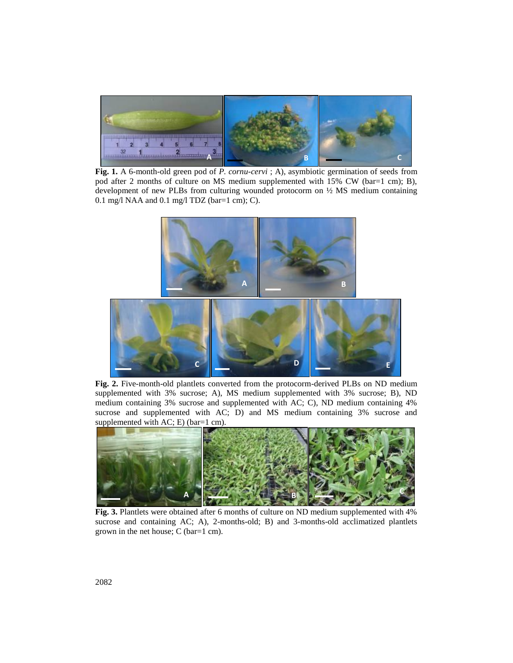

**Fig. 1.** A 6-month-old green pod of *P. cornu-cervi*; A), asymbiotic germination of seeds from pod after 2 months of culture on MS medium supplemented with 15% CW (bar=1 cm); B), development of new PLBs from culturing wounded protocorm on ½ MS medium containing 0.1 mg/l NAA and 0.1 mg/l TDZ (bar=1 cm); C).



**Fig. 2.** Five-month-old plantlets converted from the protocorm-derived PLBs on ND medium **1** supplemented with 3% sucrose; A), MS medium supplemented with 3% sucrose; B), ND medium containing 3% sucrose and supplemented with AC; C), ND medium containing 4% sucrose and supplemented with AC; D) and MS medium containing 3% sucrose and supplemented with AC; E) (bar=1 cm).



**Fig. 3.** Plantlets were obtained after 6 months of culture on ND medium supplemented with 4% sucrose and containing AC; A), 2-months-old; B) and 3-months-old acclimatized plantlets grown in the net house; C (bar=1 cm).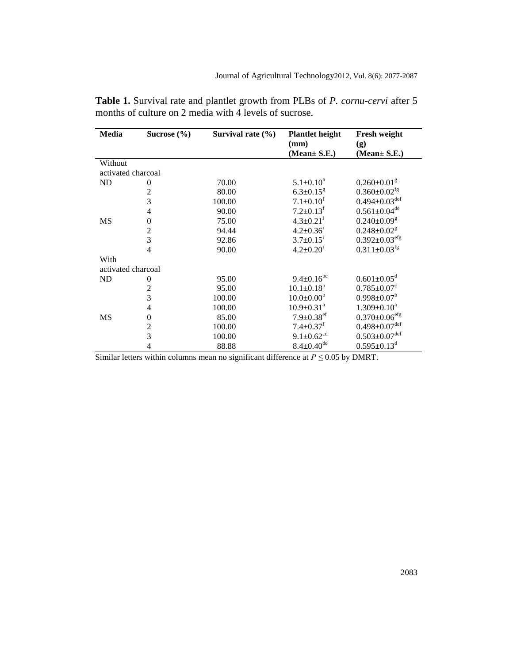| Media              | Sucrose $(\% )$          | Survival rate $(\% )$ | <b>Plantlet height</b>       | <b>Fresh weight</b>             |  |  |
|--------------------|--------------------------|-----------------------|------------------------------|---------------------------------|--|--|
|                    |                          |                       | (mm)                         | (g)                             |  |  |
|                    |                          |                       | (Mean± S.E.)                 | (Mean $\pm$ S.E.)               |  |  |
| Without            |                          |                       |                              |                                 |  |  |
| activated charcoal |                          |                       |                              |                                 |  |  |
| ND                 | $\overline{0}$           | 70.00                 | $5.1 \pm 0.10^h$             | $0.260 \pm 0.01$ <sup>g</sup>   |  |  |
|                    | $\overline{c}$           | 80.00                 | $6.3 \pm 0.15$ <sup>g</sup>  | $0.360 \pm 0.02$ <sup>fg</sup>  |  |  |
|                    | 3                        | 100.00                | $7.1 \pm 0.10$ <sup>f</sup>  | $0.494 \pm 0.03$ <sup>def</sup> |  |  |
|                    | $\overline{\mathcal{L}}$ | 90.00                 | $7.2 \pm 0.13$ <sup>f</sup>  | $0.561 \pm 0.04$ <sup>de</sup>  |  |  |
| MS                 | $\boldsymbol{0}$         | 75.00                 | $4.3 \pm 0.21$ <sup>i</sup>  | $0.240 \pm 0.09$ <sup>g</sup>   |  |  |
|                    | $\frac{2}{3}$            | 94.44                 | $4.2 \pm 0.36^{\mathrm{i}}$  | $0.248 \pm 0.02$ <sup>g</sup>   |  |  |
|                    |                          | 92.86                 | $3.7 \pm 0.15^i$             | $0.392 \pm 0.03$ <sup>efg</sup> |  |  |
|                    | $\overline{4}$           | 90.00                 | $4.2 \pm 0.20^1$             | $0.311 \pm 0.03$ <sup>fg</sup>  |  |  |
| With               |                          |                       |                              |                                 |  |  |
| activated charcoal |                          |                       |                              |                                 |  |  |
| ND                 | $\theta$                 | 95.00                 | $9.4 \pm 0.16^{bc}$          | $0.601 \pm 0.05$ <sup>d</sup>   |  |  |
|                    | $\overline{c}$           | 95.00                 | $10.1 \pm 0.18^b$            | $0.785 \pm 0.07$ <sup>c</sup>   |  |  |
|                    | 3                        | 100.00                | $10.0 \pm 0.00^b$            | $0.998 \pm 0.07^b$              |  |  |
|                    | $\overline{4}$           | 100.00                | $10.9 \pm 0.31$ <sup>a</sup> | $1.309 \pm 0.10^a$              |  |  |
| MS                 | $\boldsymbol{0}$         | 85.00                 | $7.9 \pm 0.38$ <sup>ef</sup> | $0.370 \pm 0.06$ <sup>efg</sup> |  |  |
|                    | $\overline{c}$           | 100.00                | $7.4 \pm 0.37$ <sup>f</sup>  | $0.498 \pm 0.07$ <sup>def</sup> |  |  |
|                    | 3                        | 100.00                | $9.1 \pm 0.62$ <sup>cd</sup> | $0.503 \pm 0.07$ <sup>def</sup> |  |  |
|                    | $\overline{4}$           | 88.88                 | $8.4 \pm 0.40^{\text{de}}$   | $0.595 \pm 0.13$ <sup>d</sup>   |  |  |

**Table 1.** Survival rate and plantlet growth from PLBs of *P. cornu-cervi* after 5 months of culture on 2 media with 4 levels of sucrose.

Similar letters within columns mean no significant difference at *P ≤* 0.05 by DMRT.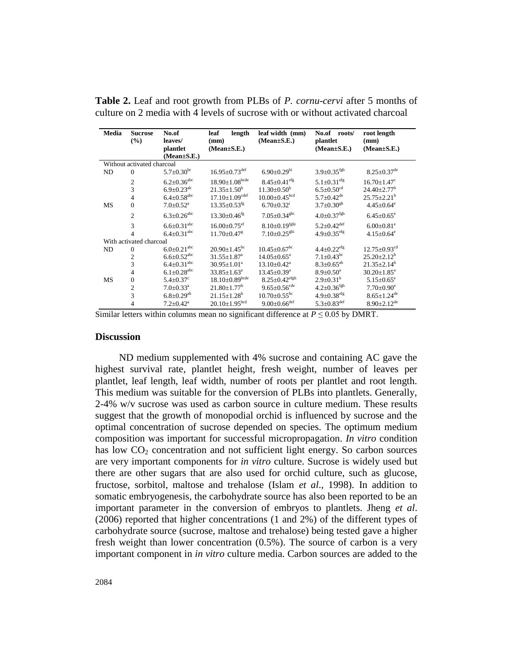| <b>Media</b>                                    | <b>Sucrose</b><br>$\frac{9}{6}$ | No.of<br>leaves/<br>plantlet  | leaf<br>length<br>(mm)<br>$(Mean \pm S.E.)$ | leaf width (mm)<br>$(Mean \pm S.E.)$ | No.of roots/<br>plantlet<br>$(Mean \pm S.E.)$ | root length<br>(mm)<br>$(Mean \pm S.E.)$ |  |
|-------------------------------------------------|---------------------------------|-------------------------------|---------------------------------------------|--------------------------------------|-----------------------------------------------|------------------------------------------|--|
| $(Mean \pm S.E.)$<br>Without activated charcoal |                                 |                               |                                             |                                      |                                               |                                          |  |
| ND                                              | $\theta$                        | $5.7 \pm 0.30^{\rm bc}$       | $16.95 \pm 0.73$ <sup>def</sup>             | $6.90 \pm 0.29$ hi                   | $3.9 \pm 0.35$ <sup>fgh</sup>                 | $8.25 \pm 0.37$ <sup>de</sup>            |  |
|                                                 | $\overline{2}$                  | $6.2 \pm 0.36^{\text{abc}}$   | $18.90 \pm 1.08$ bcde                       | $8.45 \pm 0.41$ <sup>efg</sup>       | $5.1 \pm 0.31$ <sup>efg</sup>                 | $16.70 \pm 1.47$ <sup>c</sup>            |  |
|                                                 | 3                               | $6.9 \pm 0.23^{ab}$           | $21.35 + 1.50^b$                            | $11.30 + 0.50^b$                     | $6.5 \pm 0.50$ <sup>cd</sup>                  | $24.40 + 2.77$ <sup>b</sup>              |  |
|                                                 | $\overline{4}$                  | $6.4 \pm 0.58$ <sup>abc</sup> | $17.10 \pm 1.09$ <sup>cdef</sup>            | $10.00 \pm 0.45^{\text{bcd}}$        | $5.7+0.42^{\text{de}}$                        | $25.75 + 2.21^b$                         |  |
| <b>MS</b>                                       | $\overline{0}$                  | $7.0 \pm 0.52$ <sup>a</sup>   | $13.35 \pm 0.53$ <sup>fg</sup>              | $6.70 \pm 0.32$ <sup>1</sup>         | $3.7 \pm 0.30$ <sup>gh</sup>                  | $4.45 \pm 0.64$ <sup>e</sup>             |  |
|                                                 | $\overline{2}$                  | $6.3 \pm 0.26$ <sup>abc</sup> | $13.30 \pm 0.46$ <sup>fg</sup>              | $7.05 \pm 0.34$ <sup>ghi</sup>       | $4.0 \pm 0.37$ <sup>fgh</sup>                 | $6.45 \pm 0.65$ <sup>e</sup>             |  |
|                                                 | 3                               | $6.6 \pm 0.31$ <sup>abc</sup> | $16.00+0.75$ <sup>ef</sup>                  | $8.10+0.19$ <sup>fghi</sup>          | $5.2 \pm 0.42$ <sup>def</sup>                 | $6.00+0.81$ <sup>e</sup>                 |  |
|                                                 | $\overline{4}$                  | $6.4 \pm 0.31^{\text{abc}}$   | $11.70 + 0.47$ <sup>g</sup>                 | $7.10+0.25^{ghi}$                    | $4.9 + 0.35$ <sup>efg</sup>                   | $4.15 \pm 0.64$ <sup>e</sup>             |  |
| With activated charcoal                         |                                 |                               |                                             |                                      |                                               |                                          |  |
| ND                                              | $\mathbf{0}$                    | $6.0 \pm 0.21$ <sup>abc</sup> | $20.90 \pm 1.45$ <sup>bc</sup>              | $10.45 + 0.67$ <sup>bc</sup>         | $4.4 \pm 0.22$ <sup>efg</sup>                 | $12.75 \pm 0.93$ <sup>cd</sup>           |  |
|                                                 | $\overline{c}$                  | $6.6 \pm 0.52$ <sup>abc</sup> | $31.55 \pm 1.87$ <sup>a</sup>               | $14.05 \pm 0.65^{\mathrm{a}}$        | $7.1 \pm 0.43$ <sup>bc</sup>                  | $25.20 + 2.12^b$                         |  |
|                                                 | 3                               | $6.4 \pm 0.31^{\rm abc}$      | $30.95 \pm 1.01^{\text{a}}$                 | $13.10 + 0.42^a$                     | $8.3 + 0.65^{ab}$                             | $21.35 + 2.14^b$                         |  |
|                                                 | 4                               | $6.1 \pm 0.28$ <sup>abc</sup> | $33.85 \pm 1.63^{\circ}$                    | $13.45 \pm 0.39^a$                   | $8.9 \pm 0.50^a$                              | $30.20 \pm 1.85^{\text{a}}$              |  |
| <b>MS</b>                                       | $\overline{0}$                  | $5.4 \pm 0.37$ <sup>c</sup>   | $18.10\pm0.89$ <sup>bcde</sup>              | $8.25 \pm 0.42$ <sup>efgh</sup>      | $2.9 \pm 0.31^{\rm h}$                        | $5.15 \pm 0.65^{\circ}$                  |  |
|                                                 | $\mathbf{2}$                    | $7.0 \pm 0.33$ <sup>a</sup>   | $21.80 \pm 1.77$ <sup>b</sup>               | $9.65 \pm 0.56$ <sup>cde</sup>       | $4.2 \pm 0.36$ <sup>fgh</sup>                 | $7.70 \pm 0.90^e$                        |  |
|                                                 | 3                               | $6.8 \pm 0.29$ <sup>ab</sup>  | $21.15 \pm 1.28$ <sup>b</sup>               | $10.70 \pm 0.55$ <sup>bc</sup>       | $4.9 \pm 0.38$ <sup>efg</sup>                 | $8.65 \pm 1.24$ <sup>de</sup>            |  |
|                                                 | $\overline{4}$                  | $7.2 + 0.42^a$                | $20.10+1.95bcd$                             | $9.00+0.66$ <sup>def</sup>           | $5.3 \pm 0.83^{\text{def}}$                   | $8.90 + 2.12$ <sup>de</sup>              |  |

**Table 2.** Leaf and root growth from PLBs of *P. cornu-cervi* after 5 months of culture on 2 media with 4 levels of sucrose with or without activated charcoal

Similar letters within columns mean no significant difference at  $P \le 0.05$  by DMRT.

### **Discussion**

ND medium supplemented with 4% sucrose and containing AC gave the highest survival rate, plantlet height, fresh weight, number of leaves per plantlet, leaf length, leaf width, number of roots per plantlet and root length. This medium was suitable for the conversion of PLBs into plantlets. Generally, 2-4% w/v sucrose was used as carbon source in culture medium. These results suggest that the growth of monopodial orchid is influenced by sucrose and the optimal concentration of sucrose depended on species. The optimum medium composition was important for successful micropropagation. *In vitro* condition has low  $CO<sub>2</sub>$  concentration and not sufficient light energy. So carbon sources are very important components for *in vitro* culture. Sucrose is widely used but there are other sugars that are also used for orchid culture, such as glucose, fructose, sorbitol, maltose and trehalose (Islam *et al*., 1998). In addition to somatic embryogenesis, the carbohydrate source has also been reported to be an important parameter in the conversion of embryos to plantlets. Jheng *et al*. (2006) reported that higher concentrations (1 and 2%) of the different types of carbohydrate source (sucrose, maltose and trehalose) being tested gave a higher fresh weight than lower concentration (0.5%). The source of carbon is a very important component in *in vitro* culture media. Carbon sources are added to the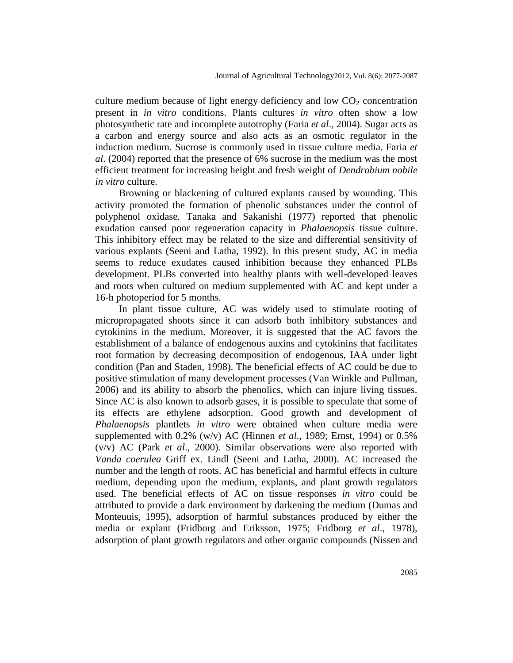culture medium because of light energy deficiency and low  $CO<sub>2</sub>$  concentration present in *in vitro* conditions. Plants cultures *in vitro* often show a low photosynthetic rate and incomplete autotrophy (Faria *et al*., 2004). Sugar acts as a carbon and energy source and also acts as an osmotic regulator in the induction medium. Sucrose is commonly used in tissue culture media. Faria *et al*. (2004) reported that the presence of 6% sucrose in the medium was the most efficient treatment for increasing height and fresh weight of *Dendrobium nobile in vitro* culture.

Browning or blackening of cultured explants caused by wounding. This activity promoted the formation of phenolic substances under the control of polyphenol oxidase. Tanaka and Sakanishi (1977) reported that phenolic exudation caused poor regeneration capacity in *Phalaenopsis* tissue culture. This inhibitory effect may be related to the size and differential sensitivity of various explants (Seeni and Latha, 1992). In this present study, AC in media seems to reduce exudates caused inhibition because they enhanced PLBs development. PLBs converted into healthy plants with well-developed leaves and roots when cultured on medium supplemented with AC and kept under a 16-h photoperiod for 5 months.

In plant tissue culture, AC was widely used to stimulate rooting of micropropagated shoots since it can adsorb both inhibitory substances and cytokinins in the medium. Moreover, it is suggested that the AC favors the establishment of a balance of endogenous auxins and cytokinins that facilitates root formation by decreasing decomposition of endogenous, IAA under light condition (Pan and Staden, 1998). The beneficial effects of AC could be due to positive stimulation of many development processes (Van Winkle and Pullman, 2006) and its ability to absorb the phenolics, which can injure living tissues. Since AC is also known to adsorb gases, it is possible to speculate that some of its effects are ethylene adsorption. Good growth and development of *Phalaenopsis* plantlets *in vitro* were obtained when culture media were supplemented with 0.2% (w/v) AC (Hinnen *et al*., 1989; Ernst, 1994) or 0.5% (v/v) AC (Park *et al*., 2000). Similar observations were also reported with *Vanda coerulea* Griff ex. Lindl (Seeni and Latha, 2000). AC increased the number and the length of roots. AC has beneficial and harmful effects in culture medium, depending upon the medium, explants, and plant growth regulators used. The beneficial effects of AC on tissue responses *in vitro* could be attributed to provide a dark environment by darkening the medium (Dumas and Monteuuis, 1995), adsorption of harmful substances produced by either the media or explant (Fridborg and Eriksson, 1975; Fridborg *et al*., 1978), adsorption of plant growth regulators and other organic compounds (Nissen and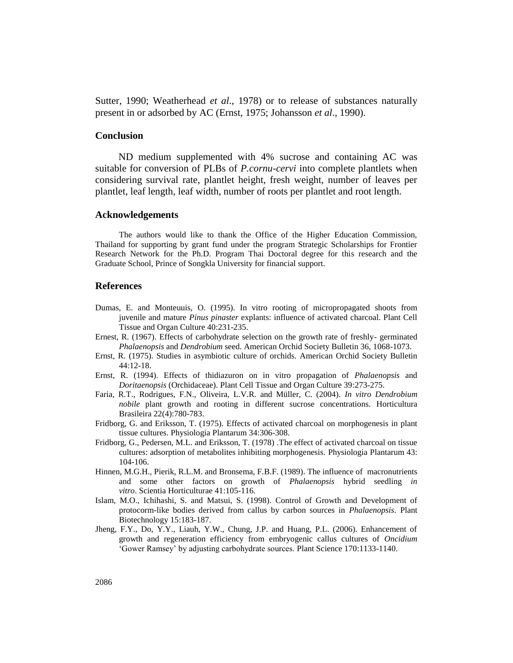Sutter, 1990; Weatherhead *et al*., 1978) or to release of substances naturally present in or adsorbed by AC (Ernst, 1975; Johansson *et al*., 1990).

### **Conclusion**

ND medium supplemented with 4% sucrose and containing AC was suitable for conversion of PLBs of *P.cornu-cervi* into complete plantlets when considering survival rate, plantlet height, fresh weight, number of leaves per plantlet, leaf length, leaf width, number of roots per plantlet and root length.

#### **Acknowledgements**

The authors would like to thank the Office of the Higher Education Commission, Thailand for supporting by grant fund under the program Strategic Scholarships for Frontier Research Network for the Ph.D. Program Thai Doctoral degree for this research and the Graduate School, Prince of Songkla University for financial support.

#### **References**

- Dumas, E. and Monteuuis, O. (1995). In vitro rooting of micropropagated shoots from juvenile and mature *Pinus pinaster* explants: influence of activated charcoal. Plant Cell Tissue and Organ Culture 40:231-235.
- Ernest, R. (1967). Effects of carbohydrate selection on the growth rate of freshly- germinated *Phalaenopsis* and *Dendrobium* seed. American Orchid Society Bulletin 36, 1068-1073.
- Ernst, R. (1975). Studies in asymbiotic culture of orchids. American Orchid Society Bulletin 44:12-18.
- Ernst, R. (1994). Effects of thidiazuron on in vitro propagation of *Phalaenopsis* and *Doritaenopsis* (Orchidaceae). Plant Cell Tissue and Organ Culture 39:273-275.
- Faria, R.T., Rodrigues, F.N., Oliveira, L.V.R. and Müller, C. (2004). *In vitro Dendrobium nobile* plant growth and rooting in different sucrose concentrations. Horticultura Brasileira 22(4):780-783.
- Fridborg, G. and Eriksson, T. (1975). Effects of activated charcoal on morphogenesis in plant tissue cultures. Physiologia Plantarum 34:306-308.
- Fridborg, G., Pedersen, M.L. and Eriksson, T. (1978) .The effect of activated charcoal on tissue cultures: adsorption of metabolites inhibiting morphogenesis. Physiologia Plantarum 43: 104-106.
- Hinnen, M.G.H., Pierik, R.L.M. and Bronsema, F.B.F. (1989). The influence of macronutrients and some other factors on growth of *Phalaenopsis* hybrid seedling *in vitro*. Scientia Horticulturae 41:105-116.
- Islam, M.O., Ichihashi, S. and Matsui, S. (1998). Control of Growth and Development of protocorm-like bodies derived from callus by carbon sources in *Phalaenopsis*. Plant Biotechnology 15:183-187.
- Jheng, F.Y., Do, Y.Y., Liauh, Y.W., Chung, J.P. and Huang, P.L. (2006). Enhancement of growth and regeneration efficiency from embryogenic callus cultures of *Oncidium* 'Gower Ramsey' by adjusting carbohydrate sources. Plant Science 170:1133-1140.